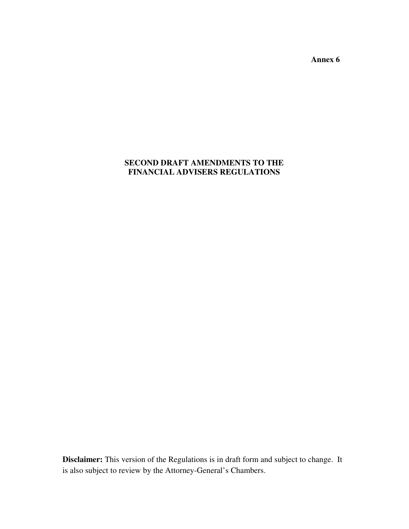**Annex 6** 

# **SECOND DRAFT AMENDMENTS TO THE FINANCIAL ADVISERS REGULATIONS**

**Disclaimer:** This version of the Regulations is in draft form and subject to change. It is also subject to review by the Attorney-General's Chambers.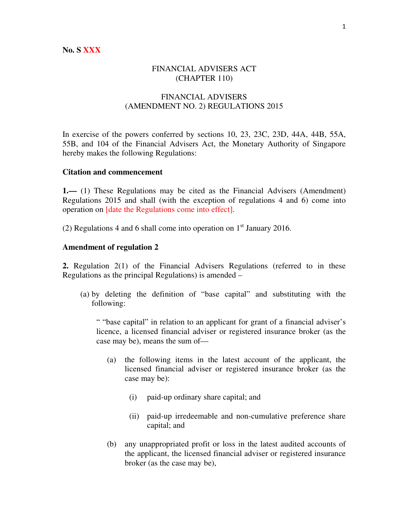## FINANCIAL ADVISERS ACT (CHAPTER 110)

## FINANCIAL ADVISERS (AMENDMENT NO. 2) REGULATIONS 2015

In exercise of the powers conferred by sections 10, 23, 23C, 23D, 44A, 44B, 55A, 55B, and 104 of the Financial Advisers Act, the Monetary Authority of Singapore hereby makes the following Regulations:

#### **Citation and commencement**

**1.—** (1) These Regulations may be cited as the Financial Advisers (Amendment) Regulations 2015 and shall (with the exception of regulations 4 and 6) come into operation on [date the Regulations come into effect].

(2) Regulations 4 and 6 shall come into operation on  $1<sup>st</sup>$  January 2016.

#### **Amendment of regulation 2**

**2.** Regulation 2(1) of the Financial Advisers Regulations (referred to in these Regulations as the principal Regulations) is amended –

(a) by deleting the definition of "base capital" and substituting with the following:

" "base capital" in relation to an applicant for grant of a financial adviser's licence, a licensed financial adviser or registered insurance broker (as the case may be), means the sum of—

- (a) the following items in the latest account of the applicant, the licensed financial adviser or registered insurance broker (as the case may be):
	- (i) paid-up ordinary share capital; and
	- (ii) paid-up irredeemable and non-cumulative preference share capital; and
- (b) any unappropriated profit or loss in the latest audited accounts of the applicant, the licensed financial adviser or registered insurance broker (as the case may be),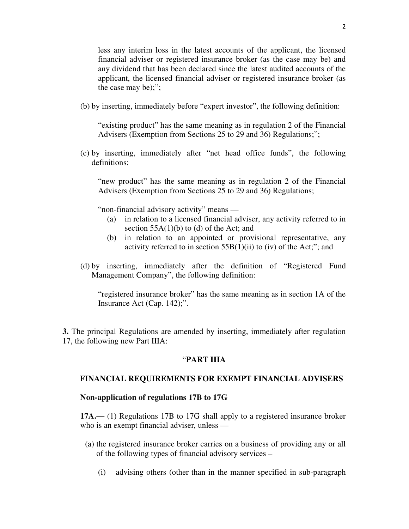less any interim loss in the latest accounts of the applicant, the licensed financial adviser or registered insurance broker (as the case may be) and any dividend that has been declared since the latest audited accounts of the applicant, the licensed financial adviser or registered insurance broker (as the case may be);";

(b) by inserting, immediately before "expert investor", the following definition:

"existing product" has the same meaning as in regulation 2 of the Financial Advisers (Exemption from Sections 25 to 29 and 36) Regulations;";

(c) by inserting, immediately after "net head office funds", the following definitions:

"new product" has the same meaning as in regulation 2 of the Financial Advisers (Exemption from Sections 25 to 29 and 36) Regulations;

"non-financial advisory activity" means —

- (a) in relation to a licensed financial adviser, any activity referred to in section  $55A(1)(b)$  to (d) of the Act; and
- (b) in relation to an appointed or provisional representative, any activity referred to in section  $55B(1)(ii)$  to (iv) of the Act;"; and
- (d) by inserting, immediately after the definition of "Registered Fund Management Company", the following definition:

"registered insurance broker" has the same meaning as in section 1A of the Insurance Act (Cap. 142);".

**3.** The principal Regulations are amended by inserting, immediately after regulation 17, the following new Part IIIA:

### "**PART IIIA**

#### **FINANCIAL REQUIREMENTS FOR EXEMPT FINANCIAL ADVISERS**

#### **Non-application of regulations 17B to 17G**

**17A.—** (1) Regulations 17B to 17G shall apply to a registered insurance broker who is an exempt financial adviser, unless —

- (a) the registered insurance broker carries on a business of providing any or all of the following types of financial advisory services –
	- (i) advising others (other than in the manner specified in sub-paragraph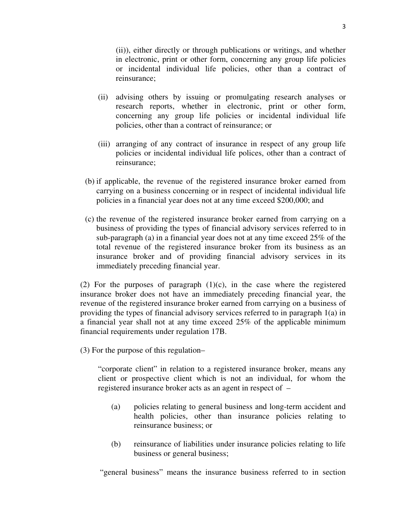(ii)), either directly or through publications or writings, and whether in electronic, print or other form, concerning any group life policies or incidental individual life policies, other than a contract of reinsurance;

- (ii) advising others by issuing or promulgating research analyses or research reports, whether in electronic, print or other form, concerning any group life policies or incidental individual life policies, other than a contract of reinsurance; or
- (iii) arranging of any contract of insurance in respect of any group life policies or incidental individual life polices, other than a contract of reinsurance;
- (b) if applicable, the revenue of the registered insurance broker earned from carrying on a business concerning or in respect of incidental individual life policies in a financial year does not at any time exceed \$200,000; and
- (c) the revenue of the registered insurance broker earned from carrying on a business of providing the types of financial advisory services referred to in sub-paragraph (a) in a financial year does not at any time exceed 25% of the total revenue of the registered insurance broker from its business as an insurance broker and of providing financial advisory services in its immediately preceding financial year.

(2) For the purposes of paragraph  $(1)(c)$ , in the case where the registered insurance broker does not have an immediately preceding financial year, the revenue of the registered insurance broker earned from carrying on a business of providing the types of financial advisory services referred to in paragraph 1(a) in a financial year shall not at any time exceed 25% of the applicable minimum financial requirements under regulation 17B.

(3) For the purpose of this regulation–

"corporate client" in relation to a registered insurance broker, means any client or prospective client which is not an individual, for whom the registered insurance broker acts as an agent in respect of –

- (a) policies relating to general business and long-term accident and health policies, other than insurance policies relating to reinsurance business; or
- (b) reinsurance of liabilities under insurance policies relating to life business or general business;

"general business" means the insurance business referred to in section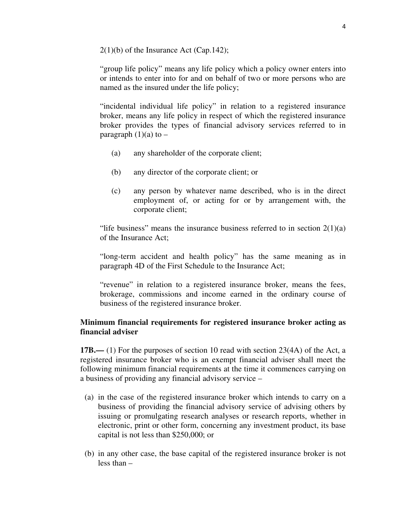$2(1)(b)$  of the Insurance Act (Cap.142);

"group life policy" means any life policy which a policy owner enters into or intends to enter into for and on behalf of two or more persons who are named as the insured under the life policy;

"incidental individual life policy" in relation to a registered insurance broker, means any life policy in respect of which the registered insurance broker provides the types of financial advisory services referred to in paragraph  $(1)(a)$  to –

- (a) any shareholder of the corporate client;
- (b) any director of the corporate client; or
- (c) any person by whatever name described, who is in the direct employment of, or acting for or by arrangement with, the corporate client;

"life business" means the insurance business referred to in section  $2(1)(a)$ of the Insurance Act;

"long-term accident and health policy" has the same meaning as in paragraph 4D of the First Schedule to the Insurance Act;

"revenue" in relation to a registered insurance broker, means the fees, brokerage, commissions and income earned in the ordinary course of business of the registered insurance broker.

# **Minimum financial requirements for registered insurance broker acting as financial adviser**

**17B.—** (1) For the purposes of section 10 read with section 23(4A) of the Act, a registered insurance broker who is an exempt financial adviser shall meet the following minimum financial requirements at the time it commences carrying on a business of providing any financial advisory service –

- (a) in the case of the registered insurance broker which intends to carry on a business of providing the financial advisory service of advising others by issuing or promulgating research analyses or research reports, whether in electronic, print or other form, concerning any investment product, its base capital is not less than \$250,000; or
- (b) in any other case, the base capital of the registered insurance broker is not less than –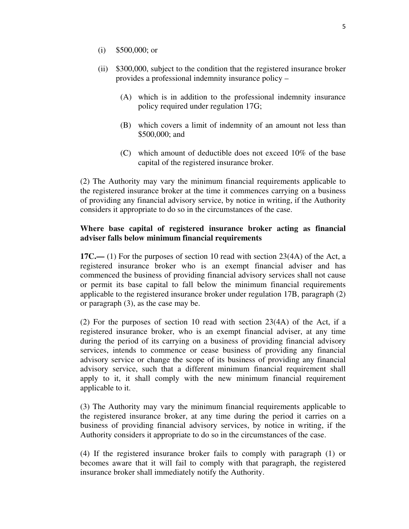- (i) \$500,000; or
- (ii) \$300,000, subject to the condition that the registered insurance broker provides a professional indemnity insurance policy –
	- (A) which is in addition to the professional indemnity insurance policy required under regulation 17G;
	- (B) which covers a limit of indemnity of an amount not less than \$500,000; and
	- (C) which amount of deductible does not exceed 10% of the base capital of the registered insurance broker.

(2) The Authority may vary the minimum financial requirements applicable to the registered insurance broker at the time it commences carrying on a business of providing any financial advisory service, by notice in writing, if the Authority considers it appropriate to do so in the circumstances of the case.

# **Where base capital of registered insurance broker acting as financial adviser falls below minimum financial requirements**

**17C.—** (1) For the purposes of section 10 read with section 23(4A) of the Act, a registered insurance broker who is an exempt financial adviser and has commenced the business of providing financial advisory services shall not cause or permit its base capital to fall below the minimum financial requirements applicable to the registered insurance broker under regulation 17B, paragraph (2) or paragraph (3), as the case may be.

(2) For the purposes of section 10 read with section 23(4A) of the Act, if a registered insurance broker, who is an exempt financial adviser, at any time during the period of its carrying on a business of providing financial advisory services, intends to commence or cease business of providing any financial advisory service or change the scope of its business of providing any financial advisory service, such that a different minimum financial requirement shall apply to it, it shall comply with the new minimum financial requirement applicable to it.

(3) The Authority may vary the minimum financial requirements applicable to the registered insurance broker, at any time during the period it carries on a business of providing financial advisory services, by notice in writing, if the Authority considers it appropriate to do so in the circumstances of the case.

(4) If the registered insurance broker fails to comply with paragraph (1) or becomes aware that it will fail to comply with that paragraph, the registered insurance broker shall immediately notify the Authority.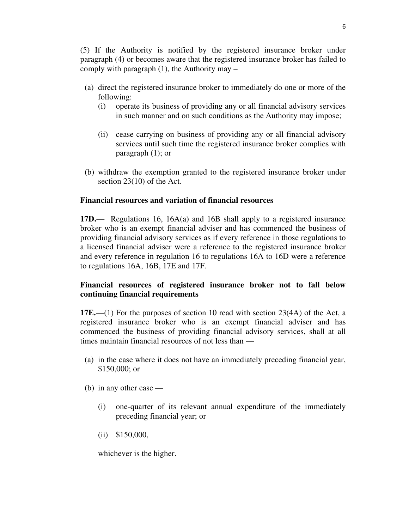(5) If the Authority is notified by the registered insurance broker under paragraph (4) or becomes aware that the registered insurance broker has failed to comply with paragraph  $(1)$ , the Authority may –

- (a) direct the registered insurance broker to immediately do one or more of the following:
	- (i) operate its business of providing any or all financial advisory services in such manner and on such conditions as the Authority may impose;
	- (ii) cease carrying on business of providing any or all financial advisory services until such time the registered insurance broker complies with paragraph (1); or
- (b) withdraw the exemption granted to the registered insurance broker under section 23(10) of the Act.

# **Financial resources and variation of financial resources**

**17D.**— Regulations 16, 16A(a) and 16B shall apply to a registered insurance broker who is an exempt financial adviser and has commenced the business of providing financial advisory services as if every reference in those regulations to a licensed financial adviser were a reference to the registered insurance broker and every reference in regulation 16 to regulations 16A to 16D were a reference to regulations 16A, 16B, 17E and 17F.

# **Financial resources of registered insurance broker not to fall below continuing financial requirements**

**17E.**—(1) For the purposes of section 10 read with section 23(4A) of the Act, a registered insurance broker who is an exempt financial adviser and has commenced the business of providing financial advisory services, shall at all times maintain financial resources of not less than —

- (a) in the case where it does not have an immediately preceding financial year, \$150,000; or
- (b) in any other case
	- (i) one-quarter of its relevant annual expenditure of the immediately preceding financial year; or
	- (ii) \$150,000,

whichever is the higher.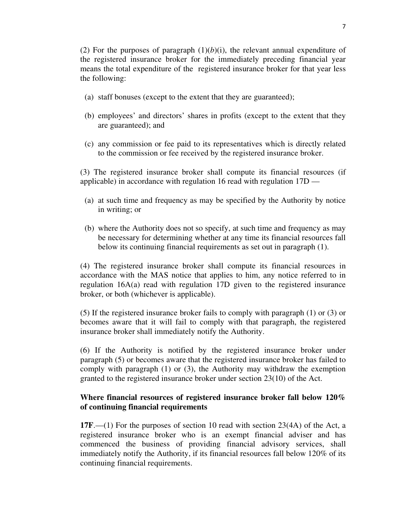(2) For the purposes of paragraph  $(1)(b)(i)$ , the relevant annual expenditure of the registered insurance broker for the immediately preceding financial year means the total expenditure of the registered insurance broker for that year less the following:

- (a) staff bonuses (except to the extent that they are guaranteed);
- (b) employees' and directors' shares in profits (except to the extent that they are guaranteed); and
- (c) any commission or fee paid to its representatives which is directly related to the commission or fee received by the registered insurance broker.

(3) The registered insurance broker shall compute its financial resources (if applicable) in accordance with regulation 16 read with regulation 17D —

- (a) at such time and frequency as may be specified by the Authority by notice in writing; or
- (b) where the Authority does not so specify, at such time and frequency as may be necessary for determining whether at any time its financial resources fall below its continuing financial requirements as set out in paragraph (1).

(4) The registered insurance broker shall compute its financial resources in accordance with the MAS notice that applies to him, any notice referred to in regulation 16A(a) read with regulation 17D given to the registered insurance broker, or both (whichever is applicable).

(5) If the registered insurance broker fails to comply with paragraph (1) or (3) or becomes aware that it will fail to comply with that paragraph, the registered insurance broker shall immediately notify the Authority.

(6) If the Authority is notified by the registered insurance broker under paragraph (5) or becomes aware that the registered insurance broker has failed to comply with paragraph (1) or (3), the Authority may withdraw the exemption granted to the registered insurance broker under section 23(10) of the Act.

# **Where financial resources of registered insurance broker fall below 120% of continuing financial requirements**

**17F**.—(1) For the purposes of section 10 read with section 23(4A) of the Act, a registered insurance broker who is an exempt financial adviser and has commenced the business of providing financial advisory services, shall immediately notify the Authority, if its financial resources fall below 120% of its continuing financial requirements.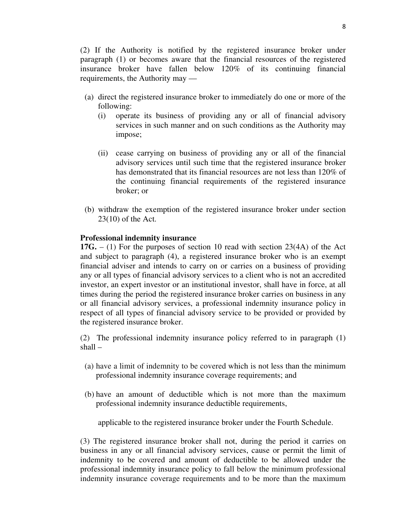(2) If the Authority is notified by the registered insurance broker under paragraph (1) or becomes aware that the financial resources of the registered insurance broker have fallen below 120% of its continuing financial requirements, the Authority may —

- (a) direct the registered insurance broker to immediately do one or more of the following:
	- (i) operate its business of providing any or all of financial advisory services in such manner and on such conditions as the Authority may impose;
	- (ii) cease carrying on business of providing any or all of the financial advisory services until such time that the registered insurance broker has demonstrated that its financial resources are not less than 120% of the continuing financial requirements of the registered insurance broker; or
- (b) withdraw the exemption of the registered insurance broker under section 23(10) of the Act.

#### **Professional indemnity insurance**

**17G.** – (1) For the purposes of section 10 read with section 23(4A) of the Act and subject to paragraph (4), a registered insurance broker who is an exempt financial adviser and intends to carry on or carries on a business of providing any or all types of financial advisory services to a client who is not an accredited investor, an expert investor or an institutional investor, shall have in force, at all times during the period the registered insurance broker carries on business in any or all financial advisory services, a professional indemnity insurance policy in respect of all types of financial advisory service to be provided or provided by the registered insurance broker.

(2) The professional indemnity insurance policy referred to in paragraph (1) shall –

- (a) have a limit of indemnity to be covered which is not less than the minimum professional indemnity insurance coverage requirements; and
- (b) have an amount of deductible which is not more than the maximum professional indemnity insurance deductible requirements,

applicable to the registered insurance broker under the Fourth Schedule.

(3) The registered insurance broker shall not, during the period it carries on business in any or all financial advisory services, cause or permit the limit of indemnity to be covered and amount of deductible to be allowed under the professional indemnity insurance policy to fall below the minimum professional indemnity insurance coverage requirements and to be more than the maximum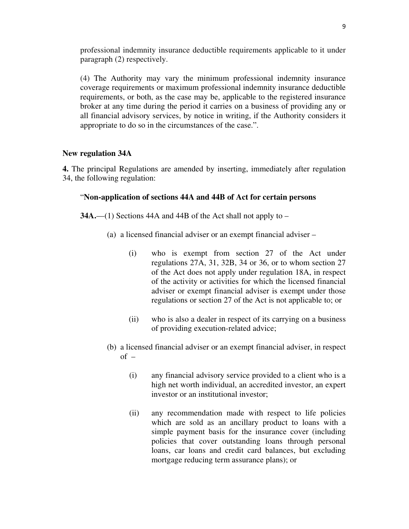professional indemnity insurance deductible requirements applicable to it under paragraph (2) respectively.

(4) The Authority may vary the minimum professional indemnity insurance coverage requirements or maximum professional indemnity insurance deductible requirements, or both, as the case may be, applicable to the registered insurance broker at any time during the period it carries on a business of providing any or all financial advisory services, by notice in writing, if the Authority considers it appropriate to do so in the circumstances of the case.".

## **New regulation 34A**

**4.** The principal Regulations are amended by inserting, immediately after regulation 34, the following regulation:

## "**Non-application of sections 44A and 44B of Act for certain persons**

**34A.**—(1) Sections 44A and 44B of the Act shall not apply to –

- (a) a licensed financial adviser or an exempt financial adviser
	- (i) who is exempt from section 27 of the Act under regulations 27A, 31, 32B, 34 or 36, or to whom section 27 of the Act does not apply under regulation 18A, in respect of the activity or activities for which the licensed financial adviser or exempt financial adviser is exempt under those regulations or section 27 of the Act is not applicable to; or
	- (ii) who is also a dealer in respect of its carrying on a business of providing execution-related advice;
- (b) a licensed financial adviser or an exempt financial adviser, in respect  $of -$ 
	- (i) any financial advisory service provided to a client who is a high net worth individual, an accredited investor, an expert investor or an institutional investor;
	- (ii) any recommendation made with respect to life policies which are sold as an ancillary product to loans with a simple payment basis for the insurance cover (including policies that cover outstanding loans through personal loans, car loans and credit card balances, but excluding mortgage reducing term assurance plans); or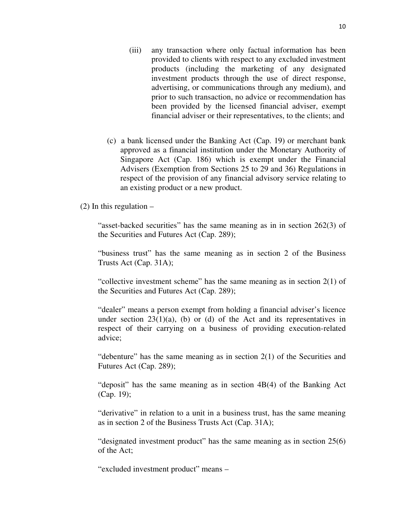- (iii) any transaction where only factual information has been provided to clients with respect to any excluded investment products (including the marketing of any designated investment products through the use of direct response, advertising, or communications through any medium), and prior to such transaction, no advice or recommendation has been provided by the licensed financial adviser, exempt financial adviser or their representatives, to the clients; and
- (c) a bank licensed under the Banking Act (Cap. 19) or merchant bank approved as a financial institution under the Monetary Authority of Singapore Act (Cap. 186) which is exempt under the Financial Advisers (Exemption from Sections 25 to 29 and 36) Regulations in respect of the provision of any financial advisory service relating to an existing product or a new product.

(2) In this regulation  $-$ 

"asset-backed securities" has the same meaning as in in section 262(3) of the Securities and Futures Act (Cap. 289);

"business trust" has the same meaning as in section 2 of the Business Trusts Act (Cap. 31A);

"collective investment scheme" has the same meaning as in section 2(1) of the Securities and Futures Act (Cap. 289);

"dealer" means a person exempt from holding a financial adviser's licence under section  $23(1)(a)$ , (b) or (d) of the Act and its representatives in respect of their carrying on a business of providing execution-related advice;

"debenture" has the same meaning as in section 2(1) of the Securities and Futures Act (Cap. 289);

"deposit" has the same meaning as in section 4B(4) of the Banking Act (Cap. 19);

"derivative" in relation to a unit in a business trust, has the same meaning as in section 2 of the Business Trusts Act (Cap. 31A);

"designated investment product" has the same meaning as in section 25(6) of the Act;

"excluded investment product" means –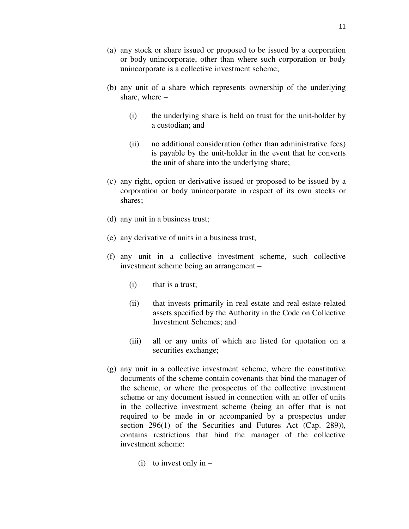- (a) any stock or share issued or proposed to be issued by a corporation or body unincorporate, other than where such corporation or body unincorporate is a collective investment scheme;
- (b) any unit of a share which represents ownership of the underlying share, where –
	- (i) the underlying share is held on trust for the unit-holder by a custodian; and
	- (ii) no additional consideration (other than administrative fees) is payable by the unit-holder in the event that he converts the unit of share into the underlying share;
- (c) any right, option or derivative issued or proposed to be issued by a corporation or body unincorporate in respect of its own stocks or shares;
- (d) any unit in a business trust;
- (e) any derivative of units in a business trust;
- (f) any unit in a collective investment scheme, such collective investment scheme being an arrangement –
	- (i) that is a trust;
	- (ii) that invests primarily in real estate and real estate-related assets specified by the Authority in the Code on Collective Investment Schemes; and
	- (iii) all or any units of which are listed for quotation on a securities exchange;
- (g) any unit in a collective investment scheme, where the constitutive documents of the scheme contain covenants that bind the manager of the scheme, or where the prospectus of the collective investment scheme or any document issued in connection with an offer of units in the collective investment scheme (being an offer that is not required to be made in or accompanied by a prospectus under section 296(1) of the Securities and Futures Act (Cap. 289)), contains restrictions that bind the manager of the collective investment scheme:
	- (i) to invest only in  $-$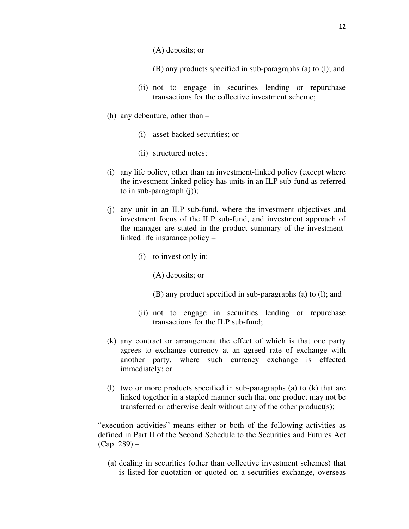- (A) deposits; or
- (B) any products specified in sub-paragraphs (a) to (l); and
- (ii) not to engage in securities lending or repurchase transactions for the collective investment scheme;
- (h) any debenture, other than
	- (i) asset-backed securities; or
	- (ii) structured notes;
- (i) any life policy, other than an investment-linked policy (except where the investment-linked policy has units in an ILP sub-fund as referred to in sub-paragraph (j));
- (j) any unit in an ILP sub-fund, where the investment objectives and investment focus of the ILP sub-fund, and investment approach of the manager are stated in the product summary of the investmentlinked life insurance policy –
	- (i) to invest only in:
		- (A) deposits; or
		- (B) any product specified in sub-paragraphs (a) to (l); and
	- (ii) not to engage in securities lending or repurchase transactions for the ILP sub-fund;
- (k) any contract or arrangement the effect of which is that one party agrees to exchange currency at an agreed rate of exchange with another party, where such currency exchange is effected immediately; or
- (l) two or more products specified in sub-paragraphs (a) to (k) that are linked together in a stapled manner such that one product may not be transferred or otherwise dealt without any of the other product(s);

"execution activities" means either or both of the following activities as defined in Part II of the Second Schedule to the Securities and Futures Act (Cap. 289) –

(a) dealing in securities (other than collective investment schemes) that is listed for quotation or quoted on a securities exchange, overseas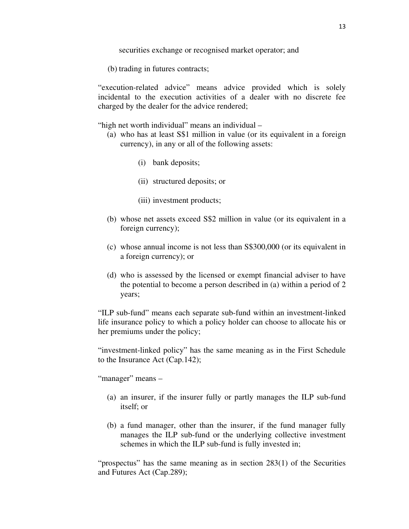securities exchange or recognised market operator; and

(b) trading in futures contracts;

"execution-related advice" means advice provided which is solely incidental to the execution activities of a dealer with no discrete fee charged by the dealer for the advice rendered;

"high net worth individual" means an individual –

- (a) who has at least S\$1 million in value (or its equivalent in a foreign currency), in any or all of the following assets:
	- (i) bank deposits;
	- (ii) structured deposits; or
	- (iii) investment products;
- (b) whose net assets exceed S\$2 million in value (or its equivalent in a foreign currency);
- (c) whose annual income is not less than S\$300,000 (or its equivalent in a foreign currency); or
- (d) who is assessed by the licensed or exempt financial adviser to have the potential to become a person described in (a) within a period of 2 years;

"ILP sub-fund" means each separate sub-fund within an investment-linked life insurance policy to which a policy holder can choose to allocate his or her premiums under the policy;

"investment-linked policy" has the same meaning as in the First Schedule to the Insurance Act (Cap.142);

"manager" means -

- (a) an insurer, if the insurer fully or partly manages the ILP sub-fund itself; or
- (b) a fund manager, other than the insurer, if the fund manager fully manages the ILP sub-fund or the underlying collective investment schemes in which the ILP sub-fund is fully invested in;

"prospectus" has the same meaning as in section 283(1) of the Securities and Futures Act (Cap.289);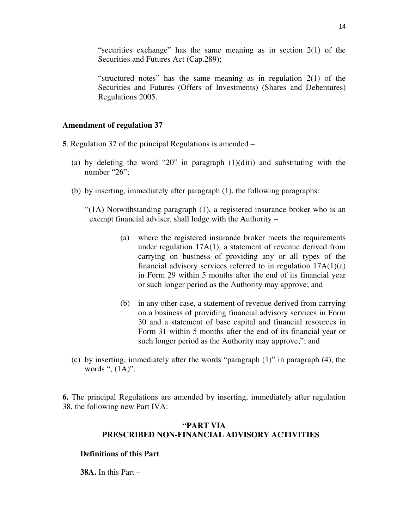"securities exchange" has the same meaning as in section 2(1) of the Securities and Futures Act (Cap.289);

"structured notes" has the same meaning as in regulation 2(1) of the Securities and Futures (Offers of Investments) (Shares and Debentures) Regulations 2005.

### **Amendment of regulation 37**

- **5**. Regulation 37 of the principal Regulations is amended
	- (a) by deleting the word "20" in paragraph  $(1)(d)(i)$  and substituting with the number "26";
	- (b) by inserting, immediately after paragraph (1), the following paragraphs:

"(1A) Notwithstanding paragraph (1), a registered insurance broker who is an exempt financial adviser, shall lodge with the Authority –

- (a) where the registered insurance broker meets the requirements under regulation 17A(1), a statement of revenue derived from carrying on business of providing any or all types of the financial advisory services referred to in regulation  $17A(1)(a)$ in Form 29 within 5 months after the end of its financial year or such longer period as the Authority may approve; and
- (b) in any other case, a statement of revenue derived from carrying on a business of providing financial advisory services in Form 30 and a statement of base capital and financial resources in Form 31 within 5 months after the end of its financial year or such longer period as the Authority may approve;"; and
- (c) by inserting, immediately after the words "paragraph (1)" in paragraph (4), the words ", (1A)".

**6.** The principal Regulations are amended by inserting, immediately after regulation 38, the following new Part IVA:

# **"PART VIA PRESCRIBED NON-FINANCIAL ADVISORY ACTIVITIES**

#### **Definitions of this Part**

**38A.** In this Part –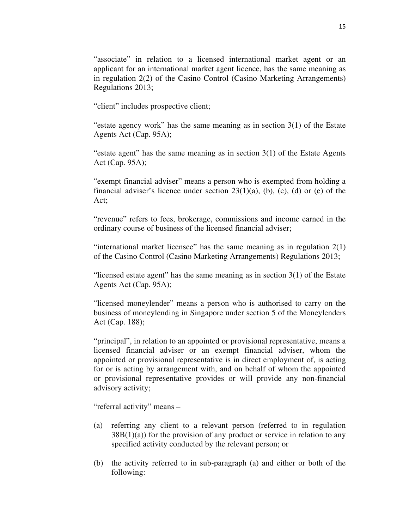"associate" in relation to a licensed international market agent or an applicant for an international market agent licence, has the same meaning as in regulation 2(2) of the Casino Control (Casino Marketing Arrangements) Regulations 2013;

"client" includes prospective client;

"estate agency work" has the same meaning as in section 3(1) of the Estate Agents Act (Cap. 95A);

"estate agent" has the same meaning as in section  $3(1)$  of the Estate Agents Act (Cap. 95A);

"exempt financial adviser" means a person who is exempted from holding a financial adviser's licence under section  $23(1)(a)$ , (b), (c), (d) or (e) of the Act;

"revenue" refers to fees, brokerage, commissions and income earned in the ordinary course of business of the licensed financial adviser;

"international market licensee" has the same meaning as in regulation 2(1) of the Casino Control (Casino Marketing Arrangements) Regulations 2013;

"licensed estate agent" has the same meaning as in section  $3(1)$  of the Estate Agents Act (Cap. 95A);

"licensed moneylender" means a person who is authorised to carry on the business of moneylending in Singapore under section 5 of the Moneylenders Act (Cap. 188);

"principal", in relation to an appointed or provisional representative, means a licensed financial adviser or an exempt financial adviser, whom the appointed or provisional representative is in direct employment of, is acting for or is acting by arrangement with, and on behalf of whom the appointed or provisional representative provides or will provide any non-financial advisory activity;

"referral activity" means –

- (a) referring any client to a relevant person (referred to in regulation  $38B(1)(a)$  for the provision of any product or service in relation to any specified activity conducted by the relevant person; or
- (b) the activity referred to in sub-paragraph (a) and either or both of the following: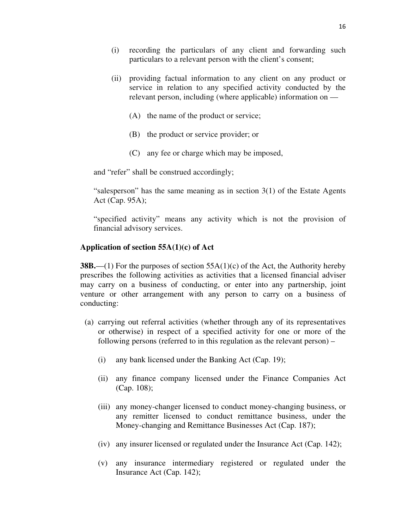- (i) recording the particulars of any client and forwarding such particulars to a relevant person with the client's consent;
- (ii) providing factual information to any client on any product or service in relation to any specified activity conducted by the relevant person, including (where applicable) information on —
	- (A) the name of the product or service;
	- (B) the product or service provider; or
	- (C) any fee or charge which may be imposed,

and "refer" shall be construed accordingly;

"salesperson" has the same meaning as in section  $3(1)$  of the Estate Agents Act (Cap. 95A);

"specified activity" means any activity which is not the provision of financial advisory services.

## **Application of section 55A(1)(c) of Act**

**38B.**—(1) For the purposes of section 55A(1)(c) of the Act, the Authority hereby prescribes the following activities as activities that a licensed financial adviser may carry on a business of conducting, or enter into any partnership, joint venture or other arrangement with any person to carry on a business of conducting:

- (a) carrying out referral activities (whether through any of its representatives or otherwise) in respect of a specified activity for one or more of the following persons (referred to in this regulation as the relevant person) –
	- (i) any bank licensed under the Banking Act (Cap. 19);
	- (ii) any finance company licensed under the Finance Companies Act (Cap. 108);
	- (iii) any money-changer licensed to conduct money-changing business, or any remitter licensed to conduct remittance business, under the Money-changing and Remittance Businesses Act (Cap. 187);
	- (iv) any insurer licensed or regulated under the Insurance Act (Cap. 142);
	- (v) any insurance intermediary registered or regulated under the Insurance Act (Cap. 142);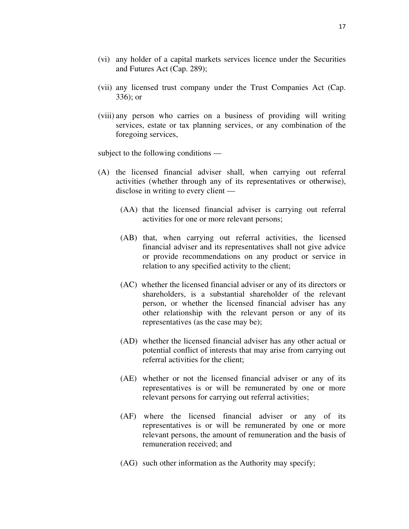- (vi) any holder of a capital markets services licence under the Securities and Futures Act (Cap. 289);
- (vii) any licensed trust company under the Trust Companies Act (Cap. 336); or
- (viii) any person who carries on a business of providing will writing services, estate or tax planning services, or any combination of the foregoing services,

subject to the following conditions —

- (A) the licensed financial adviser shall, when carrying out referral activities (whether through any of its representatives or otherwise), disclose in writing to every client —
	- (AA) that the licensed financial adviser is carrying out referral activities for one or more relevant persons;
	- (AB) that, when carrying out referral activities, the licensed financial adviser and its representatives shall not give advice or provide recommendations on any product or service in relation to any specified activity to the client;
	- (AC) whether the licensed financial adviser or any of its directors or shareholders, is a substantial shareholder of the relevant person, or whether the licensed financial adviser has any other relationship with the relevant person or any of its representatives (as the case may be);
	- (AD) whether the licensed financial adviser has any other actual or potential conflict of interests that may arise from carrying out referral activities for the client;
	- (AE) whether or not the licensed financial adviser or any of its representatives is or will be remunerated by one or more relevant persons for carrying out referral activities;
	- (AF) where the licensed financial adviser or any of its representatives is or will be remunerated by one or more relevant persons, the amount of remuneration and the basis of remuneration received; and
	- (AG) such other information as the Authority may specify;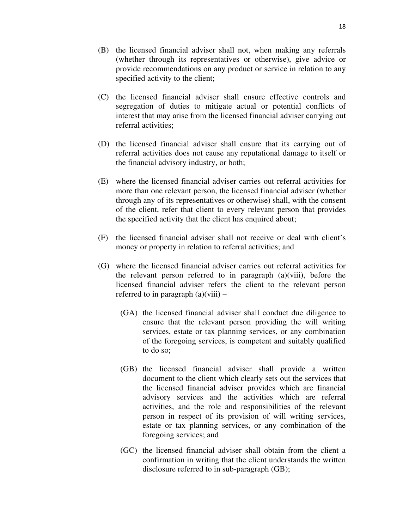- (C) the licensed financial adviser shall ensure effective controls and segregation of duties to mitigate actual or potential conflicts of interest that may arise from the licensed financial adviser carrying out referral activities;
- (D) the licensed financial adviser shall ensure that its carrying out of referral activities does not cause any reputational damage to itself or the financial advisory industry, or both;
- (E) where the licensed financial adviser carries out referral activities for more than one relevant person, the licensed financial adviser (whether through any of its representatives or otherwise) shall, with the consent of the client, refer that client to every relevant person that provides the specified activity that the client has enquired about;
- (F) the licensed financial adviser shall not receive or deal with client's money or property in relation to referral activities; and
- (G) where the licensed financial adviser carries out referral activities for the relevant person referred to in paragraph (a)(viii), before the licensed financial adviser refers the client to the relevant person referred to in paragraph  $(a)(viii)$  –
	- (GA) the licensed financial adviser shall conduct due diligence to ensure that the relevant person providing the will writing services, estate or tax planning services, or any combination of the foregoing services, is competent and suitably qualified to do so;
	- (GB) the licensed financial adviser shall provide a written document to the client which clearly sets out the services that the licensed financial adviser provides which are financial advisory services and the activities which are referral activities, and the role and responsibilities of the relevant person in respect of its provision of will writing services, estate or tax planning services, or any combination of the foregoing services; and
	- (GC) the licensed financial adviser shall obtain from the client a confirmation in writing that the client understands the written disclosure referred to in sub-paragraph (GB);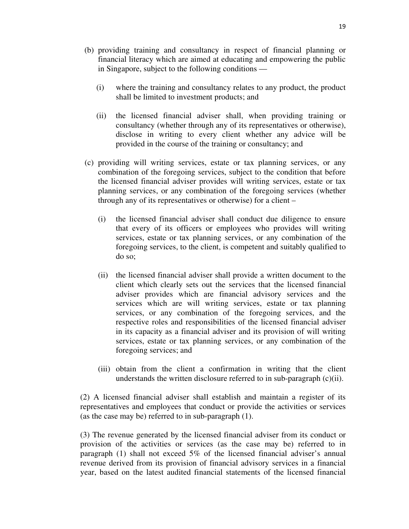- (b) providing training and consultancy in respect of financial planning or financial literacy which are aimed at educating and empowering the public in Singapore, subject to the following conditions —
	- (i) where the training and consultancy relates to any product, the product shall be limited to investment products; and
	- (ii) the licensed financial adviser shall, when providing training or consultancy (whether through any of its representatives or otherwise), disclose in writing to every client whether any advice will be provided in the course of the training or consultancy; and
- (c) providing will writing services, estate or tax planning services, or any combination of the foregoing services, subject to the condition that before the licensed financial adviser provides will writing services, estate or tax planning services, or any combination of the foregoing services (whether through any of its representatives or otherwise) for a client –
	- (i) the licensed financial adviser shall conduct due diligence to ensure that every of its officers or employees who provides will writing services, estate or tax planning services, or any combination of the foregoing services, to the client, is competent and suitably qualified to do so;
	- (ii) the licensed financial adviser shall provide a written document to the client which clearly sets out the services that the licensed financial adviser provides which are financial advisory services and the services which are will writing services, estate or tax planning services, or any combination of the foregoing services, and the respective roles and responsibilities of the licensed financial adviser in its capacity as a financial adviser and its provision of will writing services, estate or tax planning services, or any combination of the foregoing services; and
	- (iii) obtain from the client a confirmation in writing that the client understands the written disclosure referred to in sub-paragraph  $(c)(ii)$ .

(2) A licensed financial adviser shall establish and maintain a register of its representatives and employees that conduct or provide the activities or services (as the case may be) referred to in sub-paragraph (1).

(3) The revenue generated by the licensed financial adviser from its conduct or provision of the activities or services (as the case may be) referred to in paragraph (1) shall not exceed 5% of the licensed financial adviser's annual revenue derived from its provision of financial advisory services in a financial year, based on the latest audited financial statements of the licensed financial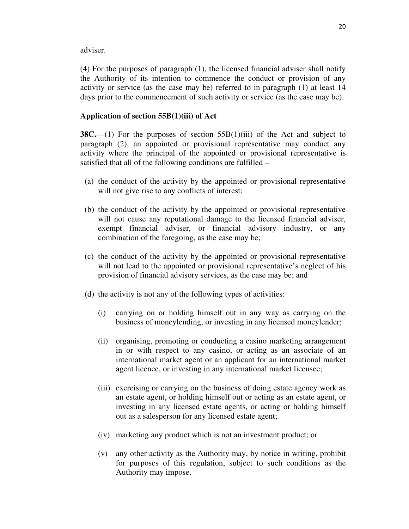adviser.

(4) For the purposes of paragraph (1), the licensed financial adviser shall notify the Authority of its intention to commence the conduct or provision of any activity or service (as the case may be) referred to in paragraph (1) at least 14 days prior to the commencement of such activity or service (as the case may be).

## **Application of section 55B(1)(iii) of Act**

**38C.**—(1) For the purposes of section 55B(1)(iii) of the Act and subject to paragraph (2), an appointed or provisional representative may conduct any activity where the principal of the appointed or provisional representative is satisfied that all of the following conditions are fulfilled –

- (a) the conduct of the activity by the appointed or provisional representative will not give rise to any conflicts of interest;
- (b) the conduct of the activity by the appointed or provisional representative will not cause any reputational damage to the licensed financial adviser, exempt financial adviser, or financial advisory industry, or any combination of the foregoing, as the case may be;
- (c) the conduct of the activity by the appointed or provisional representative will not lead to the appointed or provisional representative's neglect of his provision of financial advisory services, as the case may be; and
- (d) the activity is not any of the following types of activities:
	- (i) carrying on or holding himself out in any way as carrying on the business of moneylending, or investing in any licensed moneylender;
	- (ii) organising, promoting or conducting a casino marketing arrangement in or with respect to any casino, or acting as an associate of an international market agent or an applicant for an international market agent licence, or investing in any international market licensee;
	- (iii) exercising or carrying on the business of doing estate agency work as an estate agent, or holding himself out or acting as an estate agent, or investing in any licensed estate agents, or acting or holding himself out as a salesperson for any licensed estate agent;
	- (iv) marketing any product which is not an investment product; or
	- (v) any other activity as the Authority may, by notice in writing, prohibit for purposes of this regulation, subject to such conditions as the Authority may impose.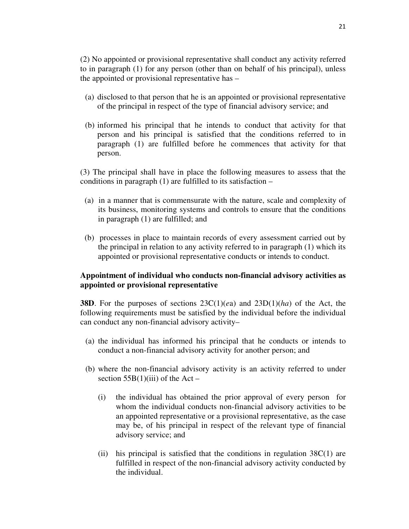(2) No appointed or provisional representative shall conduct any activity referred to in paragraph (1) for any person (other than on behalf of his principal), unless the appointed or provisional representative has –

- (a) disclosed to that person that he is an appointed or provisional representative of the principal in respect of the type of financial advisory service; and
- (b) informed his principal that he intends to conduct that activity for that person and his principal is satisfied that the conditions referred to in paragraph (1) are fulfilled before he commences that activity for that person.

(3) The principal shall have in place the following measures to assess that the conditions in paragraph (1) are fulfilled to its satisfaction –

- (a) in a manner that is commensurate with the nature, scale and complexity of its business, monitoring systems and controls to ensure that the conditions in paragraph (1) are fulfilled; and
- (b) processes in place to maintain records of every assessment carried out by the principal in relation to any activity referred to in paragraph (1) which its appointed or provisional representative conducts or intends to conduct.

# **Appointment of individual who conducts non-financial advisory activities as appointed or provisional representative**

**38D**. For the purposes of sections 23C(1)(*e*a) and 23D(1)(*ha*) of the Act, the following requirements must be satisfied by the individual before the individual can conduct any non-financial advisory activity–

- (a) the individual has informed his principal that he conducts or intends to conduct a non-financial advisory activity for another person; and
- (b) where the non-financial advisory activity is an activity referred to under section  $55B(1)(iii)$  of the Act –
	- (i) the individual has obtained the prior approval of every person for whom the individual conducts non-financial advisory activities to be an appointed representative or a provisional representative, as the case may be, of his principal in respect of the relevant type of financial advisory service; and
	- (ii) his principal is satisfied that the conditions in regulation  $38C(1)$  are fulfilled in respect of the non-financial advisory activity conducted by the individual.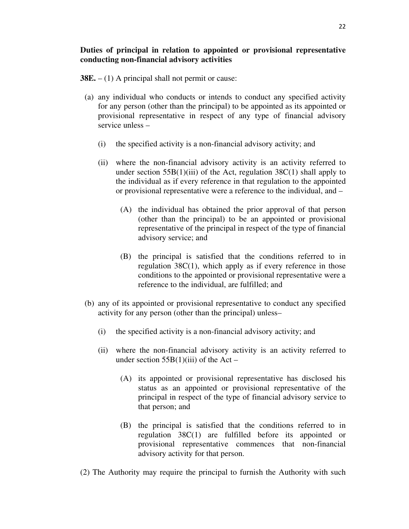# **Duties of principal in relation to appointed or provisional representative conducting non-financial advisory activities**

- **38E.** (1) A principal shall not permit or cause:
- (a) any individual who conducts or intends to conduct any specified activity for any person (other than the principal) to be appointed as its appointed or provisional representative in respect of any type of financial advisory service unless –
	- (i) the specified activity is a non-financial advisory activity; and
	- (ii) where the non-financial advisory activity is an activity referred to under section  $55B(1)(iii)$  of the Act, regulation  $38C(1)$  shall apply to the individual as if every reference in that regulation to the appointed or provisional representative were a reference to the individual, and –
		- (A) the individual has obtained the prior approval of that person (other than the principal) to be an appointed or provisional representative of the principal in respect of the type of financial advisory service; and
		- (B) the principal is satisfied that the conditions referred to in regulation 38C(1), which apply as if every reference in those conditions to the appointed or provisional representative were a reference to the individual, are fulfilled; and
- (b) any of its appointed or provisional representative to conduct any specified activity for any person (other than the principal) unless–
	- (i) the specified activity is a non-financial advisory activity; and
	- (ii) where the non-financial advisory activity is an activity referred to under section  $55B(1)(iii)$  of the Act –
		- (A) its appointed or provisional representative has disclosed his status as an appointed or provisional representative of the principal in respect of the type of financial advisory service to that person; and
		- (B) the principal is satisfied that the conditions referred to in regulation 38C(1) are fulfilled before its appointed or provisional representative commences that non-financial advisory activity for that person.
- (2) The Authority may require the principal to furnish the Authority with such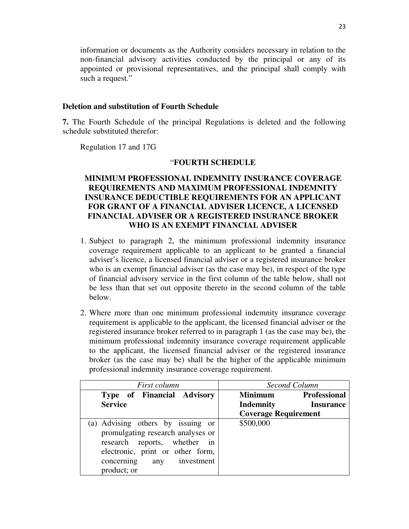information or documents as the Authority considers necessary in relation to the non-financial advisory activities conducted by the principal or any of its appointed or provisional representatives, and the principal shall comply with such a request."

## **Deletion and substitution of Fourth Schedule**

**7.** The Fourth Schedule of the principal Regulations is deleted and the following schedule substituted therefor:

Regulation 17 and 17G

### "**FOURTH SCHEDULE**

# **MINIMUM PROFESSIONAL INDEMNITY INSURANCE COVERAGE REQUIREMENTS AND MAXIMUM PROFESSIONAL INDEMNITY INSURANCE DEDUCTIBLE REQUIREMENTS FOR AN APPLICANT FOR GRANT OF A FINANCIAL ADVISER LICENCE, A LICENSED FINANCIAL ADVISER OR A REGISTERED INSURANCE BROKER WHO IS AN EXEMPT FINANCIAL ADVISER**

- 1. Subject to paragraph 2, the minimum professional indemnity insurance coverage requirement applicable to an applicant to be granted a financial adviser's licence, a licensed financial adviser or a registered insurance broker who is an exempt financial adviser (as the case may be), in respect of the type of financial advisory service in the first column of the table below, shall not be less than that set out opposite thereto in the second column of the table below.
- 2. Where more than one minimum professional indemnity insurance coverage requirement is applicable to the applicant, the licensed financial adviser or the registered insurance broker referred to in paragraph 1 (as the case may be), the minimum professional indemnity insurance coverage requirement applicable to the applicant, the licensed financial adviser or the registered insurance broker (as the case may be) shall be the higher of the applicable minimum professional indemnity insurance coverage requirement.

| First column                                                                                                                                                                              | Second Column                         |
|-------------------------------------------------------------------------------------------------------------------------------------------------------------------------------------------|---------------------------------------|
| Type of Financial Advisory                                                                                                                                                                | <b>Minimum</b><br><b>Professional</b> |
| <b>Service</b>                                                                                                                                                                            | <b>Indemnity</b><br><b>Insurance</b>  |
|                                                                                                                                                                                           | <b>Coverage Requirement</b>           |
| (a) Advising others by issuing or<br>promulgating research analyses or<br>research reports, whether in<br>electronic, print or other form,<br>concerning<br>any investment<br>product; or | \$500,000                             |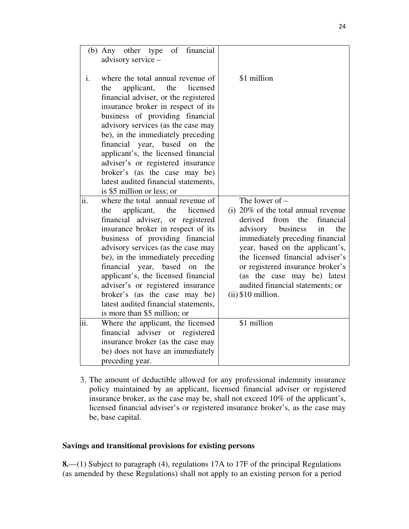|     | (b) Any other type of financial<br>advisory service -                                                                                                                                                                                                                                                                                                                                                                                                                                       |                                                                                                                                                                                                                                                                                                                                                                           |
|-----|---------------------------------------------------------------------------------------------------------------------------------------------------------------------------------------------------------------------------------------------------------------------------------------------------------------------------------------------------------------------------------------------------------------------------------------------------------------------------------------------|---------------------------------------------------------------------------------------------------------------------------------------------------------------------------------------------------------------------------------------------------------------------------------------------------------------------------------------------------------------------------|
| i.  | where the total annual revenue of<br>applicant,<br>the<br>licensed<br>the<br>financial adviser, or the registered<br>insurance broker in respect of its<br>business of providing financial<br>advisory services (as the case may<br>be), in the immediately preceding<br>financial year, based on<br>the<br>applicant's, the licensed financial<br>adviser's or registered insurance<br>broker's (as the case may be)<br>latest audited financial statements,<br>is \$5 million or less; or | \$1 million                                                                                                                                                                                                                                                                                                                                                               |
| ii. | where the total annual revenue of<br>applicant,<br>the<br>the<br>licensed<br>financial adviser, or registered<br>insurance broker in respect of its<br>business of providing financial<br>advisory services (as the case may<br>be), in the immediately preceding<br>financial year, based on<br>the<br>applicant's, the licensed financial<br>adviser's or registered insurance<br>broker's (as the case may be)<br>latest audited financial statements,<br>is more than \$5 million; or   | The lower of $-$<br>(i) $20\%$ of the total annual revenue<br>derived from<br>the<br>financial<br>advisory business<br>the<br>in<br>immediately preceding financial<br>year, based on the applicant's,<br>the licensed financial adviser's<br>or registered insurance broker's<br>(as the case may be) latest<br>audited financial statements; or<br>$(ii)$ \$10 million. |
| ίi. | Where the applicant, the licensed<br>financial adviser or registered<br>insurance broker (as the case may<br>be) does not have an immediately<br>preceding year.                                                                                                                                                                                                                                                                                                                            | \$1 million                                                                                                                                                                                                                                                                                                                                                               |

3. The amount of deductible allowed for any professional indemnity insurance policy maintained by an applicant, licensed financial adviser or registered insurance broker, as the case may be, shall not exceed 10% of the applicant's, licensed financial adviser's or registered insurance broker's, as the case may be, base capital.

# **Savings and transitional provisions for existing persons**

**8.**—(1) Subject to paragraph (4), regulations 17A to 17F of the principal Regulations (as amended by these Regulations) shall not apply to an existing person for a period